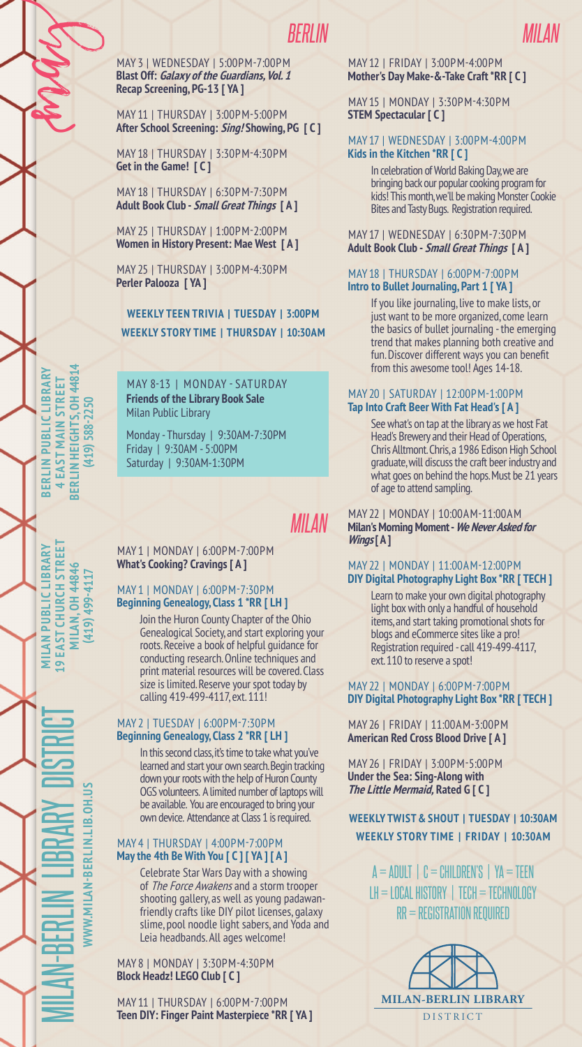# *BERLIN*

May 3 | Wednesday | 5:00pm-7:00pm **Blast Off: Galaxy of the Guardians, Vol. 1 Recap Screening, PG-13 [ YA ]**

May 11 | Thursday | 3:00pm-5:00pm **After School Screening: Sing! Showing, PG [ C ]**

May 18 | Thursday | 3:30pm-4:30pm **Get in the Game! [ C ]**

May 18 | Thursday | 6:30pm-7:30pm **Adult Book Club - Small Great Things [ A ]**

May 25 | Thursday | 1:00pm-2:00pm **Women in History Present: Mae West [ A ]**

May 25 | Thursday | 3:00pm-4:30pm **Perler Palooza [ YA ]**

**Weekly Story Time | Thursday | 10:30AM Weekly TEEN TRIVIA | TUESday | 3:00PM**

**Berlin Heights, OH 44814 BERLIN PUBLIC LIBRARY Berlin Public Library SERLIN HEIGHTS. OH 4481 Main Street 4 East**  (419) 588-2250 **(419) 588-2250**

France

**19 East Church Street MILAN PUBLIC LIBRARY Milan Public Library** EAST CHURCH STREET **MILAN, 0H 44846 Milan, OH 44846** (419) 499-4117 **(419) 499-4117**  $\overline{\mathbf{e}}$ 

Milan-Berlin

Library District

**www.milan-berlin.lib.oh.us**

VWW.MILAN-BERLIN.LIB.OH.US

May 8-13 | Monday - Saturday **Friends of the Library Book Sale** Milan Public Library

Monday - Thursday | 9:30AM-7:30PM Friday | 9:30AM - 5:00PM Saturday | 9:30AM-1:30PM

*Milan*

May 1 | Monday | 6:00pm-7:00pm **What's Cooking? Cravings [ A ]**

### May 1 | Monday | 6:00pm-7:30pm **Beginning Genealogy, Class 1 \*RR [ LH ]**

Join the Huron County Chapter of the Ohio Genealogical Society, and start exploring your roots. Receive a book of helpful guidance for conducting research. Online techniques and print material resources will be covered. Class size is limited. Reserve your spot today by calling 419-499-4117, ext. 111!

### May 2 | Tuesday | 6:00pm-7:30pm **Beginning Genealogy, Class 2 \*RR [ LH ]**

In this second class, it's time to take what you've learned and start your own search. Begin tracking down your roots with the help of Huron County OGS volunteers. A limited number of laptops will be available. You are encouraged to bring your own device. Attendance at Class 1 is required.

### May 4 | Thursday | 4:00pm-7:00pm **May the 4th Be With You [ C ] [ YA ] [ A ]**

Celebrate Star Wars Day with a showing of The Force Awakens and a storm trooper shooting gallery, as well as young padawanfriendly crafts like DIY pilot licenses, galaxy slime, pool noodle light sabers, and Yoda and Leia headbands. All ages welcome!

May 8 | Monday | 3:30pm-4:30pm **Block Headz! LEGO Club [ C ]**

May 11 | Thursday | 6:00pm-7:00pm **Teen DIY: Finger Paint Masterpiece \*RR [ YA ]**

### May 12 | Friday | 3:00pm-4:00pm **Mother's Day Make-&-Take Craft \*RR [ C ]**

May 15 | Monday | 3:30pm-4:30pm **STEM Spectacular [ C ]**

### May 17 | Wednesday | 3:00pm-4:00pm **Kids in the Kitchen \*RR [ C ]**

In celebration of World Baking Day, we are bringing back our popular cooking program for kids! This month, we'll be making Monster Cookie Bites and Tasty Bugs. Registration required.

May 17 | Wednesday | 6:30pm-7:30pm **Adult Book Club - Small Great Things [ A ]**

#### May 18 | Thursday | 6:00pm-7:00pm **Intro to Bullet Journaling, Part 1 [ YA ]**

If you like journaling, live to make lists, or just want to be more organized, come learn the basics of bullet journaling - the emerging trend that makes planning both creative and fun. Discover different ways you can benefit from this awesome tool! Ages 14-18.

### May 20 | Saturday | 12:00pm-1:00pm **Tap Into Craft Beer With Fat Head's [ A ]**

See what's on tap at the library as we host Fat Head's Brewery and their Head of Operations, Chris Alltmont. Chris, a 1986 Edison High School graduate, will discuss the craft beer industry and what goes on behind the hops. Must be 21 years of age to attend sampling.

May 22 | Monday | 10:00am-11:00am **Milan's Morning Moment - We Never Asked for Wings [ A ]**

### May 22 | Monday | 11:00am-12:00pm **DIY Digital Photography Light Box \*RR [ TECH ]**

Learn to make your own digital photography light box with only a handful of household items, and start taking promotional shots for blogs and eCommerce sites like a pro! Registration required - call 419-499-4117, ext. 110 to reserve a spot!

### May 22 | Monday | 6:00pm-7:00pm **DIY Digital Photography Light Box \*RR [ TECH ]**

May 26 | Friday | 11:00am-3:00pm **American Red Cross Blood Drive [ A ]**

May 26 | Friday | 3:00pm-5:00pm **Under the Sea: Sing-Along with The Little Mermaid, Rated G [ C ]**

## **Weekly Twist & Shout | TuesDAY | 10:30AM Weekly Story Time | FRIDAY | 10:30AM**

 $A = ADULT$  |  $C = CHILDREN'S$  |  $YA = TEEN$  $L$ H = LOCAL HISTORY | TECH = TECHNOLOGY  $RR = REGISTRAITION REQUIRED$